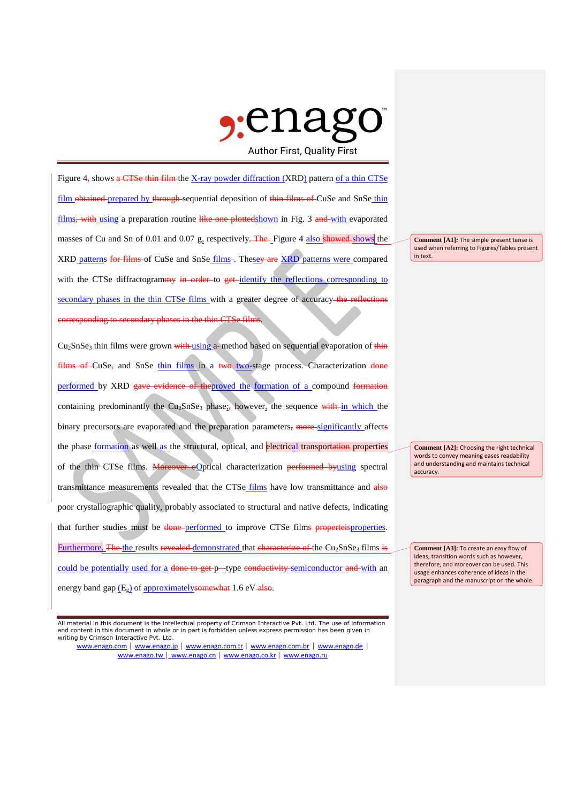

Figure 4, shows  $\alpha$  CTSe thin film the X-ray powder diffraction (XRD) pattern of a thin CTSe film obtained prepared by through sequential deposition of thin films of CuSe and SnSe thin films, with using a preparation routine like one plottedshown in Fig. 3 and with evaporated masses of Cu and Sn of 0.01 and 0.07 g, respectively. The Figure 4 also showed shows the XRD patterns for films of CuSe and SnSe films-. Thesey are XRD patterns were compared with the CTSe diffractogrammy in order to get identify the reflections corresponding to secondary phases in the thin CTSe films with a greater degree of accuracy-the reflections corresponding to secondary phases in the thin CTSe films.

Cu<sub>2</sub>SnSe<sub>3</sub> thin films were grown with using a method based on sequential evaporation of thin films of CuSe, and SnSe thin films in a two-two-stage process. Characterization done performed by XRD gave evidence of theproved the formation of a compound formation containing predominantly the  $Cu<sub>2</sub>SnSe<sub>3</sub> phase$ ; however, the sequence with in which the binary precursors are evaporated and the preparation parameters, more-significantly affects the phase formation as well as the structural, optical, and electrical transportation properties of the thin CTSe films. Moreover oOptical characterization performed byusing spectral transmittance measurements revealed that the CTSe films have low transmittance and also poor crystallographic quality, probably associated to structural and native defects, indicating that further studies must be done-performed to improve CTSe films properteisproperties. Furthermore. The the results revealed demonstrated that characterize of the  $Cu_2SnSe_3$  films is could be potentially used for a <del>done to get p-</del>-type conductivity semiconductor and with an energy band gap  $(E_g)$  of approximately somewhat 1.6 eV-also.

All material in this document is the intellectual property of Crimson Interactive Pvt. Ltd. The use of information and content in this document in whole or in part is forbidden unless express permission has been given in writing by Crimson Interactive Pvt. Ltd.

www.enago.com | www.enago.jp | www.enago.com.tr | www.enago.com.br | www.enago.de | www.enago.tw | www.enago.cn | www.enago.co.kr | www.enago.ru

**Comment [A1]:** The simple present tense is used when referring to Figures/Tables present in text.

**Comment [A2]:** Choosing the right technical words to convey meaning eases readability and understanding and maintains technical accuracy.

**Comment [A3]:** To create an easy flow of ideas, transition words such as however, therefore, and moreover can be used. This usage enhances coherence of ideas in the paragraph and the manuscript on the whole.